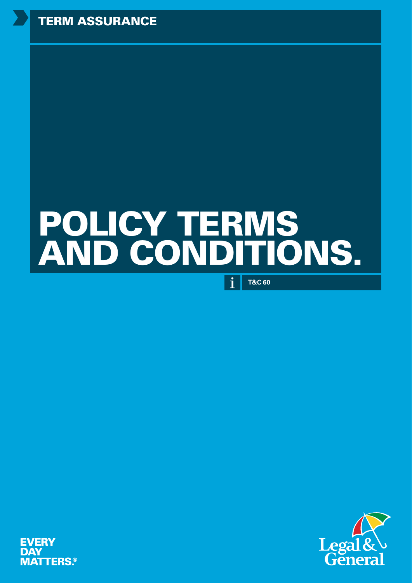# POLICY TERMS AND CONDITIONS.

**T&C 60**

 $\mathbf{i}$ 



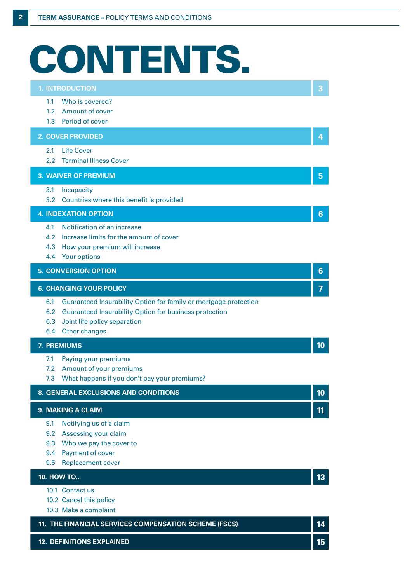# CONTENTS.

| <b>1. INTRODUCTION</b>                                                                                                                          |    |
|-------------------------------------------------------------------------------------------------------------------------------------------------|----|
| Who is covered?<br>1.1<br>1.2                                                                                                                   |    |
| <b>Amount of cover</b><br>Period of cover<br>1.3                                                                                                |    |
| <b>2. COVER PROVIDED</b>                                                                                                                        | 4  |
| <b>Life Cover</b><br>2.1<br><b>Terminal Illness Cover</b><br>$2.2^{\circ}$                                                                      |    |
| <b>3. WAIVER OF PREMIUM</b>                                                                                                                     | 5  |
| 3.1<br>Incapacity                                                                                                                               |    |
| 3.2<br>Countries where this benefit is provided                                                                                                 |    |
| <b>4. INDEXATION OPTION</b>                                                                                                                     | 6  |
| Notification of an increase<br>4.1                                                                                                              |    |
| 4.2<br>Increase limits for the amount of cover                                                                                                  |    |
| 4.3<br>How your premium will increase<br>Your options<br>4.4                                                                                    |    |
| <b>5. CONVERSION OPTION</b>                                                                                                                     | 6  |
|                                                                                                                                                 |    |
| <b>6. CHANGING YOUR POLICY</b>                                                                                                                  | 7  |
| Guaranteed Insurability Option for family or mortgage protection<br>6.1<br>6.2<br><b>Guaranteed Insurability Option for business protection</b> |    |
| 6.3<br>Joint life policy separation                                                                                                             |    |
| Other changes<br>6.4                                                                                                                            |    |
| 7. PREMIUMS                                                                                                                                     | 10 |
| 7.1<br>Paying your premiums                                                                                                                     |    |
| Amount of your premiums<br>7.2<br>7.3                                                                                                           |    |
| What happens if you don't pay your premiums?                                                                                                    |    |
| 8. GENERAL EXCLUSIONS AND CONDITIONS                                                                                                            | 10 |
| 9. MAKING A CLAIM                                                                                                                               | 11 |
| 9.1<br>Notifying us of a claim                                                                                                                  |    |
| Assessing your claim<br>9.2                                                                                                                     |    |
| Who we pay the cover to<br>9.3<br>Payment of cover<br>9.4                                                                                       |    |
| <b>Replacement cover</b><br>9.5                                                                                                                 |    |
| 10. HOW TO                                                                                                                                      | 13 |
| 10.1 Contact us                                                                                                                                 |    |
| 10.2 Cancel this policy                                                                                                                         |    |
| 10.3 Make a complaint                                                                                                                           |    |
| 11. THE FINANCIAL SERVICES COMPENSATION SCHEME (FSCS)                                                                                           | 14 |

**12. DEFINITIONS EXPLAINED 15**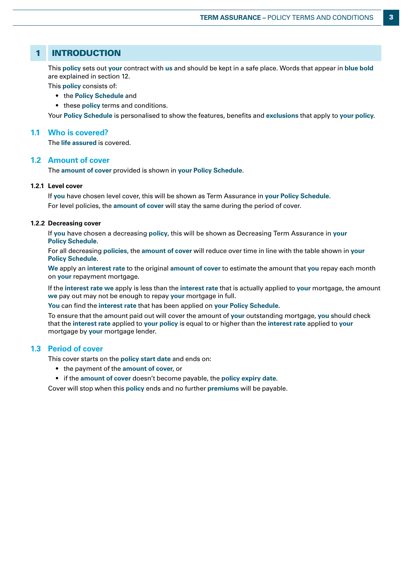# 1 INTRODUCTION

This **policy** sets out **your** contract with **us** and should be kept in a safe place. Words that appear in **blue bold** are explained in section 12.

This **policy** consists of:

- the **Policy Schedule** and
- these **policy** terms and conditions.

Your **Policy Schedule** is personalised to show the features, benefits and **exclusions** that apply to **your policy**.

## **1.1 Who is covered?**

The **life assured** is covered.

## **1.2 Amount of cover**

The **amount of cover** provided is shown in **your Policy Schedule**.

## **1.2.1 Level cover**

If **you** have chosen level cover, this will be shown as Term Assurance in **your Policy Schedule**. For level policies, the **amount of cover** will stay the same during the period of cover.

## **1.2.2 Decreasing cover**

If **you** have chosen a decreasing **policy**, this will be shown as Decreasing Term Assurance in **your Policy Schedule**.

For all decreasing **policies**, the **amount of cover** will reduce over time in line with the table shown in **your Policy Schedule**.

**We** apply an **interest rate** to the original **amount of cover** to estimate the amount that **you** repay each month on **your** repayment mortgage.

If the **interest rate we** apply is less than the **interest rate** that is actually applied to **your** mortgage, the amount **we** pay out may not be enough to repay **your** mortgage in full.

**You** can find the **interest rate** that has been applied on **your Policy Schedule**.

To ensure that the amount paid out will cover the amount of **your** outstanding mortgage, **you** should check that the **interest rate** applied to **your policy** is equal to or higher than the **interest rate** applied to **your**  mortgage by **your** mortgage lender.

## **1.3 Period of cover**

This cover starts on the **policy start date** and ends on:

- the payment of the **amount of cover**, or
- if the **amount of cover** doesn't become payable, the **policy expiry date**.

Cover will stop when this **policy** ends and no further **premiums** will be payable.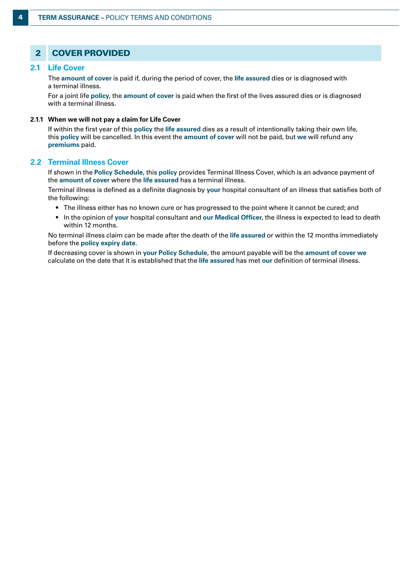# 2 COVER PROVIDED

## **2.1 Life Cover**

The **amount of cover** is paid if, during the period of cover, the **life assured** dies or is diagnosed with a terminal illness.

For a joint life **policy**, the **amount of cover** is paid when the first of the lives assured dies or is diagnosed with a terminal illness.

## **2.1.1 When we will not pay a claim for Life Cover**

If within the first year of this **policy** the **life assured** dies as a result of intentionally taking their own life, this **policy** will be cancelled. In this event the **amount of cover** will not be paid, but **we** will refund any **premiums** paid.

## **2.2 Terminal Illness Cover**

If shown in the **Policy Schedule**, this **policy** provides Terminal Illness Cover, which is an advance payment of the **amount of cover** where the **life assured** has a terminal illness.

Terminal illness is defined as a definite diagnosis by **your** hospital consultant of an illness that satisfies both of the following:

- The illness either has no known cure or has progressed to the point where it cannot be cured; and
- In the opinion of **your** hospital consultant and **our Medical Officer**, the illness is expected to lead to death within 12 months.

No terminal illness claim can be made after the death of the **life assured** or within the 12 months immediately before the **policy expiry date**.

If decreasing cover is shown in **your Policy Schedule**, the amount payable will be the **amount of cover we** calculate on the date that it is established that the **life assured** has met **our** definition of terminal illness.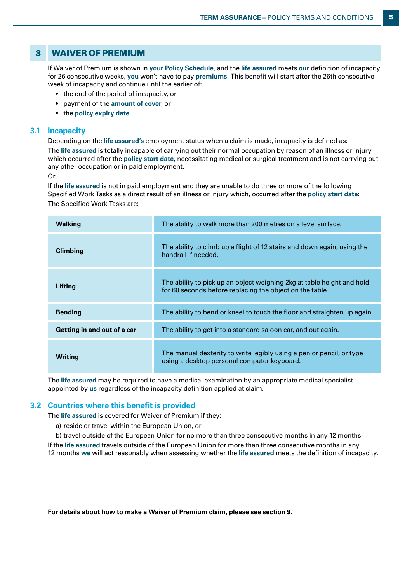## 3 WAIVER OF PREMIUM

If Waiver of Premium is shown in **your Policy Schedule**, and the **life assured** meets **our** definition of incapacity for 26 consecutive weeks, **you** won't have to pay **premiums**. This benefit will start after the 26th consecutive week of incapacity and continue until the earlier of:

- the end of the period of incapacity, or
- payment of the **amount of cover**, or
- the **policy expiry date**.

## **3.1 Incapacity**

Depending on the **life assured's** employment status when a claim is made, incapacity is defined as:

The **life assured** is totally incapable of carrying out their normal occupation by reason of an illness or injury which occurred after the **policy start date**, necessitating medical or surgical treatment and is not carrying out any other occupation or in paid employment.

Or

If the **life assured** is not in paid employment and they are unable to do three or more of the following Specified Work Tasks as a direct result of an illness or injury which, occurred after the **policy start date**: The Specified Work Tasks are:

| <b>Walking</b>              | The ability to walk more than 200 metres on a level surface.                                                                       |  |  |
|-----------------------------|------------------------------------------------------------------------------------------------------------------------------------|--|--|
| <b>Climbing</b>             | The ability to climb up a flight of 12 stairs and down again, using the<br>handrail if needed.                                     |  |  |
| Lifting                     | The ability to pick up an object weighing 2kg at table height and hold<br>for 60 seconds before replacing the object on the table. |  |  |
| <b>Bending</b>              | The ability to bend or kneel to touch the floor and straighten up again.                                                           |  |  |
| Getting in and out of a car | The ability to get into a standard saloon car, and out again.                                                                      |  |  |
| Writing                     | The manual dexterity to write legibly using a pen or pencil, or type<br>using a desktop personal computer keyboard.                |  |  |

The **life assured** may be required to have a medical examination by an appropriate medical specialist appointed by **us** regardless of the incapacity definition applied at claim.

## **3.2 Countries where this benefit is provided**

The **life assured** is covered for Waiver of Premium if they:

- a) reside or travel within the European Union, or
- b) travel outside of the European Union for no more than three consecutive months in any 12 months.

If the **life assured** travels outside of the European Union for more than three consecutive months in any 12 months **we** will act reasonably when assessing whether the **life assured** meets the definition of incapacity.

**For details about how to make a Waiver of Premium claim, please see section 9.**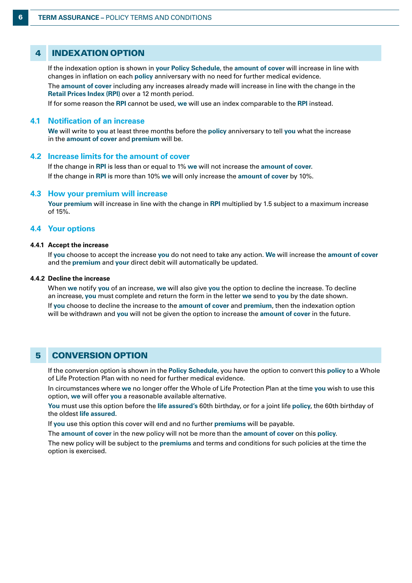## 4 INDEXATION OPTION

If the indexation option is shown in **your Policy Schedule**, the **amount of cover** will increase in line with changes in inflation on each **policy** anniversary with no need for further medical evidence.

The **amount of cover** including any increases already made will increase in line with the change in the **Retail Prices Index (RPI)** over a 12 month period.

If for some reason the **RPI** cannot be used, **we** will use an index comparable to the **RPI** instead.

#### **4.1 Notification of an increase**

**We** will write to **you** at least three months before the **policy** anniversary to tell **you** what the increase in the **amount of cover** and **premium** will be.

## **4.2 Increase limits for the amount of cover**

If the change in **RPI** is less than or equal to 1% **we** will not increase the **amount of cover**. If the change in **RPI** is more than 10% **we** will only increase the **amount of cover** by 10%.

#### **4.3 How your premium will increase**

**Your premium** will increase in line with the change in **RPI** multiplied by 1.5 subject to a maximum increase of 15%.

## **4.4 Your options**

## **4.4.1 Accept the increase**

If **you** choose to accept the increase **you** do not need to take any action. **We** will increase the **amount of cover** and the **premium** and **your** direct debit will automatically be updated.

#### **4.4.2 Decline the increase**

When **we** notify **you** of an increase, **we** will also give **you** the option to decline the increase. To decline an increase, **you** must complete and return the form in the letter **we** send to **you** by the date shown.

If **you** choose to decline the increase to the **amount of cover** and **premium**, then the indexation option will be withdrawn and **you** will not be given the option to increase the **amount of cover** in the future.

## 5 CONVERSION OPTION

If the conversion option is shown in the **Policy Schedule**, you have the option to convert this **policy** to a Whole of Life Protection Plan with no need for further medical evidence.

In circumstances where **we** no longer offer the Whole of Life Protection Plan at the time **you** wish to use this option, **we** will offer **you** a reasonable available alternative.

**You** must use this option before the **life assured's** 60th birthday, or for a joint life **policy**, the 60th birthday of the oldest **life assured**.

If **you** use this option this cover will end and no further **premiums** will be payable.

The **amount of cover** in the new policy will not be more than the **amount of cover** on this **policy**.

The new policy will be subject to the **premiums** and terms and conditions for such policies at the time the option is exercised.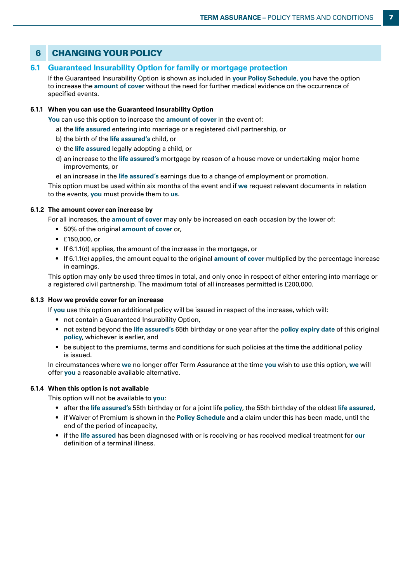# 6 CHANGING YOUR POLICY

## **6.1 Guaranteed Insurability Option for family or mortgage protection**

If the Guaranteed Insurability Option is shown as included in **your Policy Schedule**, **you** have the option to increase the **amount of cover** without the need for further medical evidence on the occurrence of specified events.

## **6.1.1 When you can use the Guaranteed Insurability Option**

**You** can use this option to increase the **amount of cover** in the event of:

- a) the **life assured** entering into marriage or a registered civil partnership, or
- b) the birth of the **life assured's** child, or
- c) the **life assured** legally adopting a child, or
- d) an increase to the **life assured's** mortgage by reason of a house move or undertaking major home improvements, or
- e) an increase in the **life assured's** earnings due to a change of employment or promotion.

This option must be used within six months of the event and if **we** request relevant documents in relation to the events, **you** must provide them to **us**.

## **6.1.2 The amount cover can increase by**

For all increases, the **amount of cover** may only be increased on each occasion by the lower of:

- 50% of the original **amount of cover** or,
- £150,000, or
- If 6.1.1(d) applies, the amount of the increase in the mortgage, or
- If 6.1.1(e) applies, the amount equal to the original **amount of cover** multiplied by the percentage increase in earnings.

This option may only be used three times in total, and only once in respect of either entering into marriage or a registered civil partnership. The maximum total of all increases permitted is £200,000.

## **6.1.3 How we provide cover for an increase**

If **you** use this option an additional policy will be issued in respect of the increase, which will:

- not contain a Guaranteed Insurability Option,
- not extend beyond the **life assured's** 65th birthday or one year after the **policy expiry date** of this original **policy**, whichever is earlier, and
- be subject to the premiums, terms and conditions for such policies at the time the additional policy is issued.

In circumstances where **we** no longer offer Term Assurance at the time **you** wish to use this option, **we** will offer **you** a reasonable available alternative.

## **6.1.4 When this option is not available**

This option will not be available to **you**:

- after the **life assured's** 55th birthday or for a joint life **policy**, the 55th birthday of the oldest **life assured**,
- if Waiver of Premium is shown in the **Policy Schedule** and a claim under this has been made, until the end of the period of incapacity,
- if the **life assured** has been diagnosed with or is receiving or has received medical treatment for **our**  definition of a terminal illness.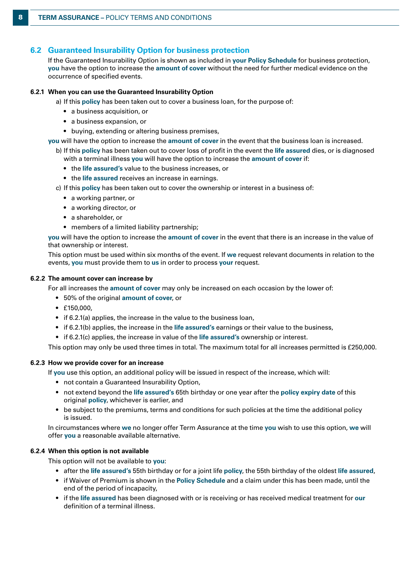## **6.2 Guaranteed Insurability Option for business protection**

If the Guaranteed Insurability Option is shown as included in **your Policy Schedule** for business protection, **you** have the option to increase the **amount of cover** without the need for further medical evidence on the occurrence of specified events.

## **6.2.1 When you can use the Guaranteed Insurability Option**

a) If this **policy** has been taken out to cover a business loan, for the purpose of:

- a business acquisition, or
- a business expansion, or
- buying, extending or altering business premises,

**you** will have the option to increase the **amount of cover** in the event that the business loan is increased.

- b) If this **policy** has been taken out to cover loss of profit in the event the **life assured** dies, or is diagnosed with a terminal illness **you** will have the option to increase the **amount of cover** if:
	- the **life assured's** value to the business increases, or
	- the **life assured** receives an increase in earnings.
- c) If this **policy** has been taken out to cover the ownership or interest in a business of:
	- a working partner, or
	- a working director, or
	- a shareholder, or
	- members of a limited liability partnership;

**you** will have the option to increase the **amount of cover** in the event that there is an increase in the value of that ownership or interest.

This option must be used within six months of the event. If **we** request relevant documents in relation to the events, **you** must provide them to **us** in order to process **your** request.

#### **6.2.2 The amount cover can increase by**

For all increases the **amount of cover** may only be increased on each occasion by the lower of:

- 50% of the original **amount of cover**, or
- £150,000,
- if 6.2.1(a) applies, the increase in the value to the business loan,
- if 6.2.1(b) applies, the increase in the **life assured's** earnings or their value to the business,
- if 6.2.1(c) applies, the increase in value of the **life assured's** ownership or interest.

This option may only be used three times in total. The maximum total for all increases permitted is £250,000.

#### **6.2.3 How we provide cover for an increase**

If **you** use this option, an additional policy will be issued in respect of the increase, which will:

- not contain a Guaranteed Insurability Option,
- not extend beyond the **life assured's** 65th birthday or one year after the **policy expiry date** of this original **policy**, whichever is earlier, and
- be subject to the premiums, terms and conditions for such policies at the time the additional policy is issued.

In circumstances where **we** no longer offer Term Assurance at the time **you** wish to use this option, **we** will offer **you** a reasonable available alternative.

## **6.2.4 When this option is not available**

This option will not be available to **you**:

- after the **life assured's** 55th birthday or for a joint life **policy**, the 55th birthday of the oldest **life assured**,
- if Waiver of Premium is shown in the **Policy Schedule** and a claim under this has been made, until the end of the period of incapacity,
- if the **life assured** has been diagnosed with or is receiving or has received medical treatment for **our** definition of a terminal illness.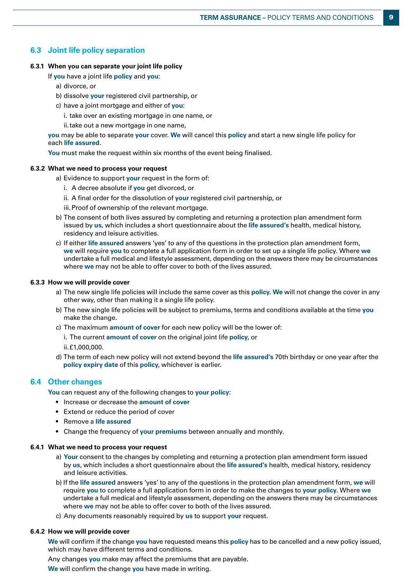## **6.3 Joint life policy separation**

## **6.3.1 When you can separate your joint life policy**

If **you** have a joint life **policy** and **you**:

- a) divorce, or
- b) dissolve **your** registered civil partnership, or
- c) have a joint mortgage and either of **you**:
	- i. take over an existing mortgage in one name, or
	- ii.take out a new mortgage in one name,

**you** may be able to separate **your** cover. **We** will cancel this **policy** and start a new single life policy for each **life assured**.

**You** must make the request within six months of the event being finalised.

## **6.3.2 What we need to process your request**

- a) Evidence to support **your** request in the form of:
	- i. A decree absolute if **you** get divorced, or
	- ii. A final order for the dissolution of **your** registered civil partnership, or
	- iii.Proof of ownership of the relevant mortgage.
- b) The consent of both lives assured by completing and returning a protection plan amendment form issued by **us**, which includes a short questionnaire about the **life assured's** health, medical history, residency and leisure activities.
- c) If either **life assured** answers 'yes' to any of the questions in the protection plan amendment form, **we** will require **you** to complete a full application form in order to set up a single life policy. Where **we** undertake a full medical and lifestyle assessment, depending on the answers there may be circumstances where **we** may not be able to offer cover to both of the lives assured.

## **6.3.3 How we will provide cover**

- a) The new single life policies will include the same cover as this **policy**. **We** will not change the cover in any other way, other than making it a single life policy.
- b) The new single life policies will be subject to premiums, terms and conditions available at the time **you** make the change.
- c) The maximum **amount of cover** for each new policy will be the lower of:
	- i. The current **amount of cover** on the original joint life **policy**, or
	- ii.£1,000,000.
- d) The term of each new policy will not extend beyond the **life assured's** 70th birthday or one year after the **policy expiry date** of this **policy**, whichever is earlier.

## **6.4 Other changes**

**You** can request any of the following changes to **your policy**:

- Increase or decrease the **amount of cover**
- Extend or reduce the period of cover
- Remove a **life assured**
- Change the frequency of **your premiums** between annually and monthly.

#### **6.4.1 What we need to process your request**

- a) **Your** consent to the changes by completing and returning a protection plan amendment form issued by **us**, which includes a short questionnaire about the **life assured's** health, medical history, residency and leisure activities.
- b) If the **life assured** answers 'yes' to any of the questions in the protection plan amendment form, **we** will require **you** to complete a full application form in order to make the changes to **your policy**. Where **we** undertake a full medical and lifestyle assessment, depending on the answers there may be circumstances where **we** may not be able to offer cover to both of the lives assured.
- c) Any documents reasonably required by **us** to support **your** request.

## **6.4.2 How we will provide cover**

**We** will confirm if the change **you** have requested means this **policy** has to be cancelled and a new policy issued, which may have different terms and conditions.

Any changes **you** make may affect the premiums that are payable.

**We** will confirm the change **you** have made in writing.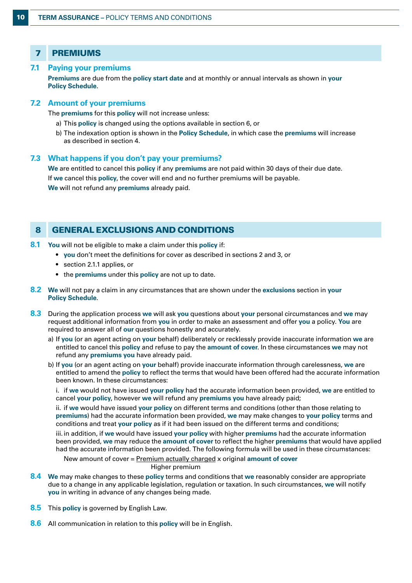| <b>PREMIUMS</b> |
|-----------------|
|                 |

## **7.1 Paying your premiums**

**Premiums** are due from the **policy start date** and at monthly or annual intervals as shown in **your Policy Schedule**.

## **7.2 Amount of your premiums**

The **premiums** for this **policy** will not increase unless:

- a) This **policy** is changed using the options available in section 6, or
- b) The indexation option is shown in the **Policy Schedule**, in which case the **premiums** will increase as described in section 4.

## **7.3 What happens if you don't pay your premiums?**

**We** are entitled to cancel this **policy** if any **premiums** are not paid within 30 days of their due date. If **we** cancel this **policy**, the cover will end and no further premiums will be payable. **We** will not refund any **premiums** already paid.

## 8 GENERAL EXCLUSIONS AND CONDITIONS

- **8.1 You** will not be eligible to make a claim under this **policy** if:
	- **you** don't meet the definitions for cover as described in sections 2 and 3, or
	- section 2.1.1 applies, or
	- the **premiums** under this **policy** are not up to date.
- **8.2 We** will not pay a claim in any circumstances that are shown under the **exclusions** section in **your Policy Schedule**.
- **8.3** During the application process **we** will ask **you** questions about **your** personal circumstances and **we** may request additional information from **you** in order to make an assessment and offer **you** a policy. **You** are required to answer all of **our** questions honestly and accurately.
	- a) If **you** (or an agent acting on **your** behalf) deliberately or recklessly provide inaccurate information **we** are entitled to cancel this **policy** and refuse to pay the **amount of cover**. In these circumstances **we** may not refund any **premiums you** have already paid.
	- b) If **you** (or an agent acting on **your** behalf) provide inaccurate information through carelessness, **we** are entitled to amend the **policy** to reflect the terms that would have been offered had the accurate information been known. In these circumstances:

i. if **we** would not have issued **your policy** had the accurate information been provided, **we** are entitled to cancel **your policy**, however **we** will refund any **premiums you** have already paid;

ii. if **we** would have issued **your policy** on different terms and conditions (other than those relating to **premiums**) had the accurate information been provided, **we** may make changes to **your policy** terms and conditions and treat **your policy** as if it had been issued on the different terms and conditions;

iii. in addition, if **we** would have issued **your policy** with higher **premiums** had the accurate information been provided, **we** may reduce the **amount of cover** to reflect the higher **premiums** that would have applied had the accurate information been provided. The following formula will be used in these circumstances:

New amount of cover = Premium actually charged x original **amount of cover**

Higher premium

- **8.4 We** may make changes to these **policy** terms and conditions that **we** reasonably consider are appropriate due to a change in any applicable legislation, regulation or taxation. In such circumstances, **we** will notify **you** in writing in advance of any changes being made.
- **8.5** This **policy** is governed by English Law.
- **8.6** All communication in relation to this **policy** will be in English.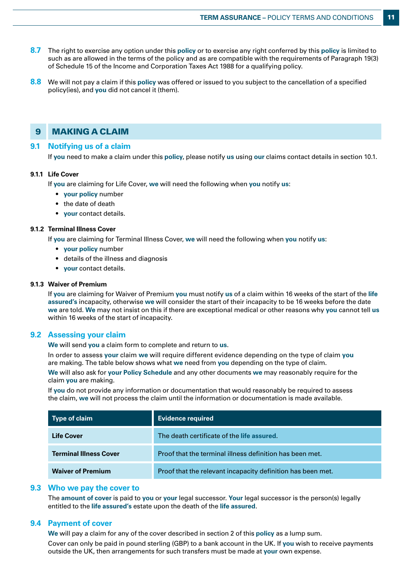- **8.7** The right to exercise any option under this **policy** or to exercise any right conferred by this **policy** is limited to such as are allowed in the terms of the policy and as are compatible with the requirements of Paragraph 19(3) of Schedule 15 of the Income and Corporation Taxes Act 1988 for a qualifying policy.
- **8.8** We will not pay a claim if this **policy** was offered or issued to you subject to the cancellation of a specified policy(ies), and **you** did not cancel it (them).

## 9 MAKING A CLAIM

## **9.1 Notifying us of a claim**

If **you** need to make a claim under this **policy**, please notify **us** using **our** claims contact details in section 10.1.

#### **9.1.1 Life Cover**

If **you** are claiming for Life Cover, **we** will need the following when **you** notify **us**:

- **your policy** number
- the date of death
- **your** contact details.

#### **9.1.2 Terminal Illness Cover**

If **you** are claiming for Terminal Illness Cover, **we** will need the following when **you** notify **us**:

- **your policy** number
- details of the illness and diagnosis
- **your** contact details.

## **9.1.3 Waiver of Premium**

If **you** are claiming for Waiver of Premium **you** must notify **us** of a claim within 16 weeks of the start of the **life assured's** incapacity, otherwise **we** will consider the start of their incapacity to be 16 weeks before the date **we** are told. **We** may not insist on this if there are exceptional medical or other reasons why **you** cannot tell **us** within 16 weeks of the start of incapacity.

## **9.2 Assessing your claim**

**We** will send **you** a claim form to complete and return to **us**.

In order to assess **your** claim **we** will require different evidence depending on the type of claim **you** are making. The table below shows what **we** need from **you** depending on the type of claim.

**We** will also ask for **your Policy Schedule** and any other documents **we** may reasonably require for the claim **you** are making.

If **you** do not provide any information or documentation that would reasonably be required to assess the claim, **we** will not process the claim until the information or documentation is made available.

| Type of claim                 | <b>Evidence required</b>                                    |  |
|-------------------------------|-------------------------------------------------------------|--|
| <b>Life Cover</b>             | The death certificate of the life assured.                  |  |
| <b>Terminal Illness Cover</b> | Proof that the terminal illness definition has been met.    |  |
| <b>Waiver of Premium</b>      | Proof that the relevant incapacity definition has been met. |  |

## **9.3 Who we pay the cover to**

The **amount of cover** is paid to **you** or **your** legal successor. **Your** legal successor is the person(s) legally entitled to the **life assured's** estate upon the death of the **life assured**.

## **9.4 Payment of cover**

**We** will pay a claim for any of the cover described in section 2 of this **policy** as a lump sum. Cover can only be paid in pound sterling (GBP) to a bank account in the UK. If **you** wish to receive payments outside the UK, then arrangements for such transfers must be made at **your** own expense.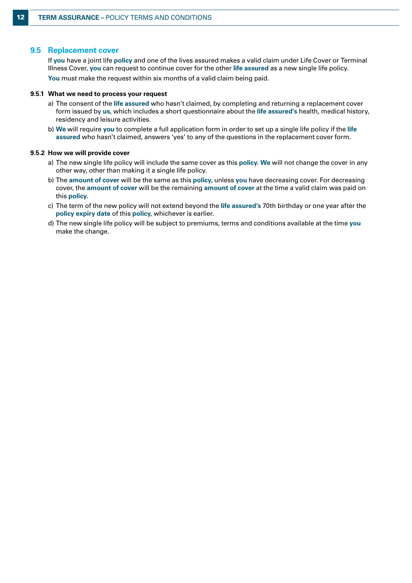## **9.5 Replacement cover**

If **you** have a joint life **policy** and one of the lives assured makes a valid claim under Life Cover or Terminal Illness Cover, **you** can request to continue cover for the other **life assured** as a new single life policy. **You** must make the request within six months of a valid claim being paid.

#### **9.5.1 What we need to process your request**

- a) The consent of the **life assured** who hasn't claimed, by completing and returning a replacement cover form issued by **us**, which includes a short questionnaire about the **life assured's** health, medical history, residency and leisure activities.
- b) **We** will require **you** to complete a full application form in order to set up a single life policy if the **life assured** who hasn't claimed, answers 'yes' to any of the questions in the replacement cover form.

#### **9.5.2 How we will provide cover**

- a) The new single life policy will include the same cover as this **policy**. **We** will not change the cover in any other way, other than making it a single life policy.
- b) The **amount of cover** will be the same as this **policy**, unless **you** have decreasing cover. For decreasing cover, the **amount of cover** will be the remaining **amount of cover** at the time a valid claim was paid on this **policy**.
- c) The term of the new policy will not extend beyond the **life assured's** 70th birthday or one year after the **policy expiry date** of this **policy**, whichever is earlier.
- d) The new single life policy will be subject to premiums, terms and conditions available at the time **you** make the change.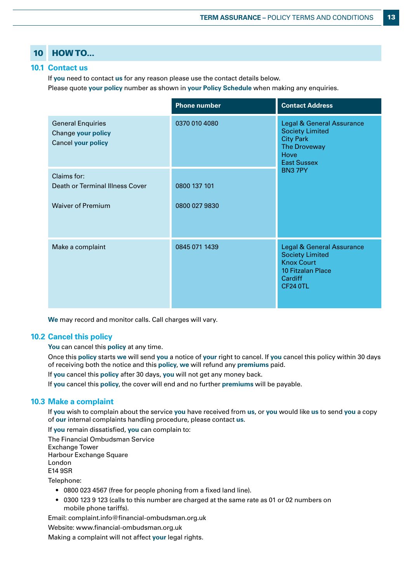# 10 HOW TO...

## **10.1 Contact us**

If **you** need to contact **us** for any reason please use the contact details below.

Please quote **your policy** number as shown in **your Policy Schedule** when making any enquiries.

|                                                                                    | <b>Phone number</b>           | <b>Contact Address</b>                                                                                                                        |
|------------------------------------------------------------------------------------|-------------------------------|-----------------------------------------------------------------------------------------------------------------------------------------------|
| <b>General Enquiries</b><br><b>Change your policy</b><br><b>Cancel your policy</b> | 0370 010 4080                 | <b>Legal &amp; General Assurance</b><br><b>Society Limited</b><br><b>City Park</b><br>The Droveway<br>Hove<br><b>East Sussex</b><br>BN37PY    |
| Claims for:<br><b>Death or Terminal Illness Cover</b><br><b>Waiver of Premium</b>  | 0800 137 101<br>0800 027 9830 |                                                                                                                                               |
| Make a complaint                                                                   | 0845 071 1439                 | <b>Legal &amp; General Assurance</b><br><b>Society Limited</b><br><b>Knox Court</b><br><b>10 Fitzalan Place</b><br>Cardiff<br><b>CF24 0TL</b> |

**We** may record and monitor calls. Call charges will vary.

## **10.2 Cancel this policy**

You can cancel this **policy** at any time.

Once this **policy** starts **we** will send **you** a notice of **your** right to cancel. If **you** cancel this policy within 30 days of receiving both the notice and this **policy**, **we** will refund any **premiums** paid.

If **you** cancel this **policy** after 30 days, **you** will not get any money back.

If **you** cancel this **policy**, the cover will end and no further **premiums** will be payable.

## **10.3 Make a complaint**

If **you** wish to complain about the service **you** have received from **us**, or **you** would like **us** to send **you** a copy of **our** internal complaints handling procedure, please contact **us**.

If **you** remain dissatisfied, **you** can complain to:

The Financial Ombudsman Service Exchange Tower Harbour Exchange Square London E14 9SR

Telephone:

- 0800 023 4567 (free for people phoning from a fixed land line).
- 0300 123 9 123 (calls to this number are charged at the same rate as 01 or 02 numbers on mobile phone tariffs).

Email: complaint.info@financial-ombudsman.org.uk

Website: www.financial-ombudsman.org.uk

Making a complaint will not affect **your** legal rights.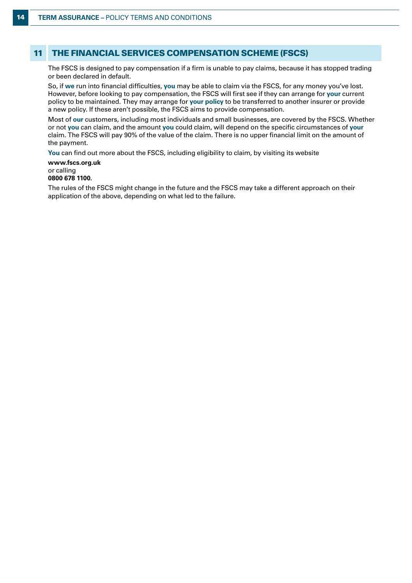## 11 THE FINANCIAL SERVICES COMPENSATION SCHEME (FSCS)

The FSCS is designed to pay compensation if a firm is unable to pay claims, because it has stopped trading or been declared in default.

So, if **we** run into financial difficulties, **you** may be able to claim via the FSCS, for any money you've lost. However, before looking to pay compensation, the FSCS will first see if they can arrange for **your** current policy to be maintained. They may arrange for **your policy** to be transferred to another insurer or provide a new policy. If these aren't possible, the FSCS aims to provide compensation.

Most of **our** customers, including most individuals and small businesses, are covered by the FSCS. Whether or not **you** can claim, and the amount **you** could claim, will depend on the specific circumstances of **your** claim. The FSCS will pay 90% of the value of the claim. There is no upper financial limit on the amount of the payment.

**You** can find out more about the FSCS, including eligibility to claim, by visiting its website

#### **www.fscs.org.uk** or calling **0800 678 1100.**

The rules of the FSCS might change in the future and the FSCS may take a different approach on their application of the above, depending on what led to the failure.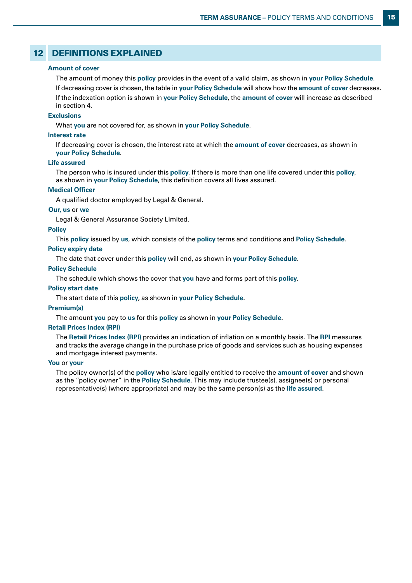## 12 DEFINITIONS EXPLAINED

#### **Amount of cover**

The amount of money this **policy** provides in the event of a valid claim, as shown in **your Policy Schedule**. If decreasing cover is chosen, the table in **your Policy Schedule** will show how the **amount of cover** decreases. If the indexation option is shown in **your Policy Schedule**, the **amount of cover** will increase as described in section 4.

#### **Exclusions**

What **you** are not covered for, as shown in **your Policy Schedule**.

#### **Interest rate**

If decreasing cover is chosen, the interest rate at which the **amount of cover** decreases, as shown in **your Policy Schedule**.

#### **Life assured**

The person who is insured under this **policy**. If there is more than one life covered under this **policy**, as shown in **your Policy Schedule**, this definition covers all lives assured.

#### **Medical Officer**

A qualified doctor employed by Legal & General.

#### **Our, us** or **we**

Legal & General Assurance Society Limited.

#### **Policy**

This **policy** issued by **us**, which consists of the **policy** terms and conditions and **Policy Schedule**.

#### **Policy expiry date**

The date that cover under this **policy** will end, as shown in **your Policy Schedule**.

#### **Policy Schedule**

The schedule which shows the cover that **you** have and forms part of this **policy**.

#### **Policy start date**

The start date of this **policy**, as shown in **your Policy Schedule**.

#### **Premium(s)**

The amount **you** pay to **us** for this **policy** as shown in **your Policy Schedule**.

#### **Retail Prices Index (RPI)**

The **Retail Prices Index (RPI)** provides an indication of inflation on a monthly basis. The **RPI** measures and tracks the average change in the purchase price of goods and services such as housing expenses and mortgage interest payments.

#### **You** or **your**

The policy owner(s) of the **policy** who is/are legally entitled to receive the **amount of cover** and shown as the "policy owner" in the **Policy Schedule**. This may include trustee(s), assignee(s) or personal representative(s) (where appropriate) and may be the same person(s) as the **life assured**.